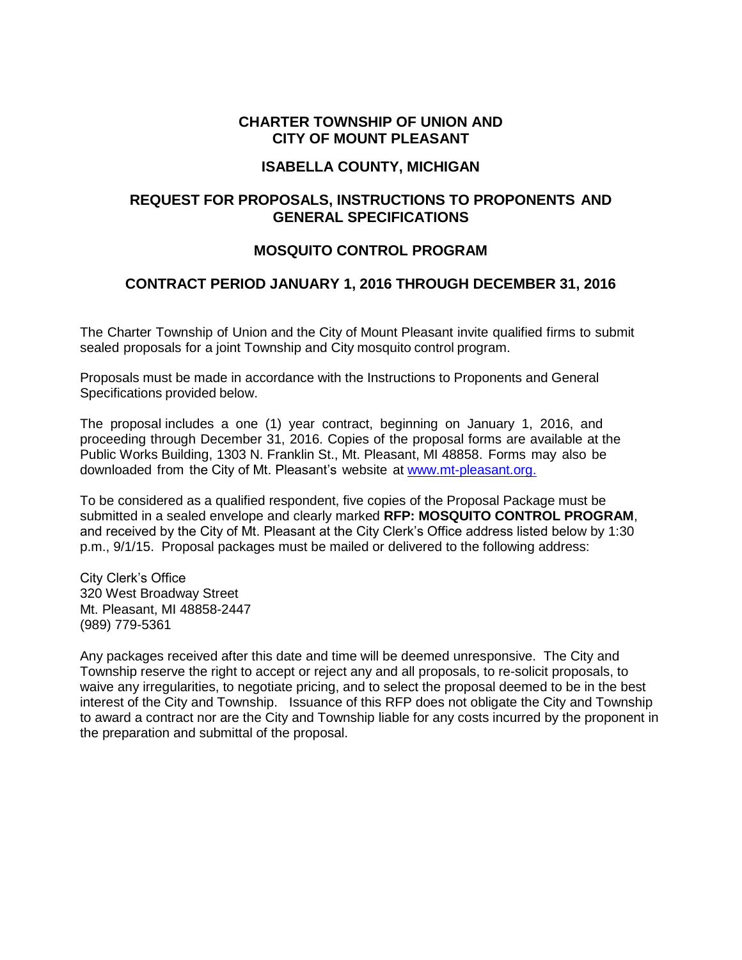#### **CHARTER TOWNSHIP OF UNION AND CITY OF MOUNT PLEASANT**

#### **ISABELLA COUNTY, MICHIGAN**

# **REQUEST FOR PROPOSALS, INSTRUCTIONS TO PROPONENTS AND GENERAL SPECIFICATIONS**

# **MOSQUITO CONTROL PROGRAM**

# **CONTRACT PERIOD JANUARY 1, 2016 THROUGH DECEMBER 31, 2016**

The Charter Township of Union and the City of Mount Pleasant invite qualified firms to submit sealed proposals for a joint Township and City mosquito control program.

Proposals must be made in accordance with the Instructions to Proponents and General Specifications provided below.

The proposal includes a one (1) year contract, beginning on January 1, 2016, and proceeding through December 31, 2016. Copies of the proposal forms are available at the Public Works Building, 1303 N. Franklin St., Mt. Pleasant, MI 48858. Forms may also be downloaded from the City of Mt. Pleasant's website at [www.mt-pleasant.org.](http://www.mt-pleasant.org./)

To be considered as a qualified respondent, five copies of the Proposal Package must be submitted in a sealed envelope and clearly marked **RFP: MOSQUITO CONTROL PROGRAM**, and received by the City of Mt. Pleasant at the City Clerk's Office address listed below by 1:30 p.m., 9/1/15. Proposal packages must be mailed or delivered to the following address:

City Clerk's Office 320 West Broadway Street Mt. Pleasant, MI 48858-2447 (989) 779-5361

Any packages received after this date and time will be deemed unresponsive. The City and Township reserve the right to accept or reject any and all proposals, to re-solicit proposals, to waive any irregularities, to negotiate pricing, and to select the proposal deemed to be in the best interest of the City and Township. Issuance of this RFP does not obligate the City and Township to award a contract nor are the City and Township liable for any costs incurred by the proponent in the preparation and submittal of the proposal.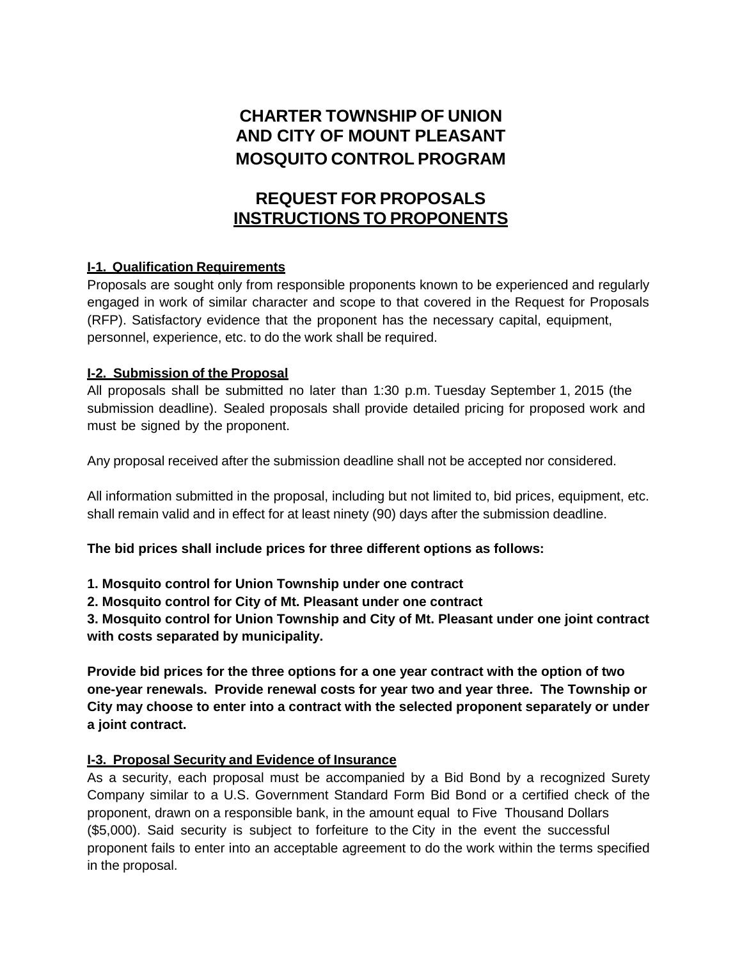# **CHARTER TOWNSHIP OF UNION AND CITY OF MOUNT PLEASANT MOSQUITO CONTROL PROGRAM**

# **REQUEST FOR PROPOSALS INSTRUCTIONS TO PROPONENTS**

# **I-1. Qualification Requirements**

Proposals are sought only from responsible proponents known to be experienced and regularly engaged in work of similar character and scope to that covered in the Request for Proposals (RFP). Satisfactory evidence that the proponent has the necessary capital, equipment, personnel, experience, etc. to do the work shall be required.

# **I-2. Submission of the Proposal**

All proposals shall be submitted no later than 1:30 p.m. Tuesday September 1, 2015 (the submission deadline). Sealed proposals shall provide detailed pricing for proposed work and must be signed by the proponent.

Any proposal received after the submission deadline shall not be accepted nor considered.

All information submitted in the proposal, including but not limited to, bid prices, equipment, etc. shall remain valid and in effect for at least ninety (90) days after the submission deadline.

**The bid prices shall include prices for three different options as follows:**

**1. Mosquito control for Union Township under one contract**

**2. Mosquito control for City of Mt. Pleasant under one contract**

**3. Mosquito control for Union Township and City of Mt. Pleasant under one joint contract with costs separated by municipality.**

**Provide bid prices for the three options for a one year contract with the option of two one-year renewals. Provide renewal costs for year two and year three. The Township or City may choose to enter into a contract with the selected proponent separately or under a joint contract.**

# **I-3. Proposal Security and Evidence of Insurance**

As a security, each proposal must be accompanied by a Bid Bond by a recognized Surety Company similar to a U.S. Government Standard Form Bid Bond or a certified check of the proponent, drawn on a responsible bank, in the amount equal to Five Thousand Dollars (\$5,000). Said security is subject to forfeiture to the City in the event the successful proponent fails to enter into an acceptable agreement to do the work within the terms specified in the proposal.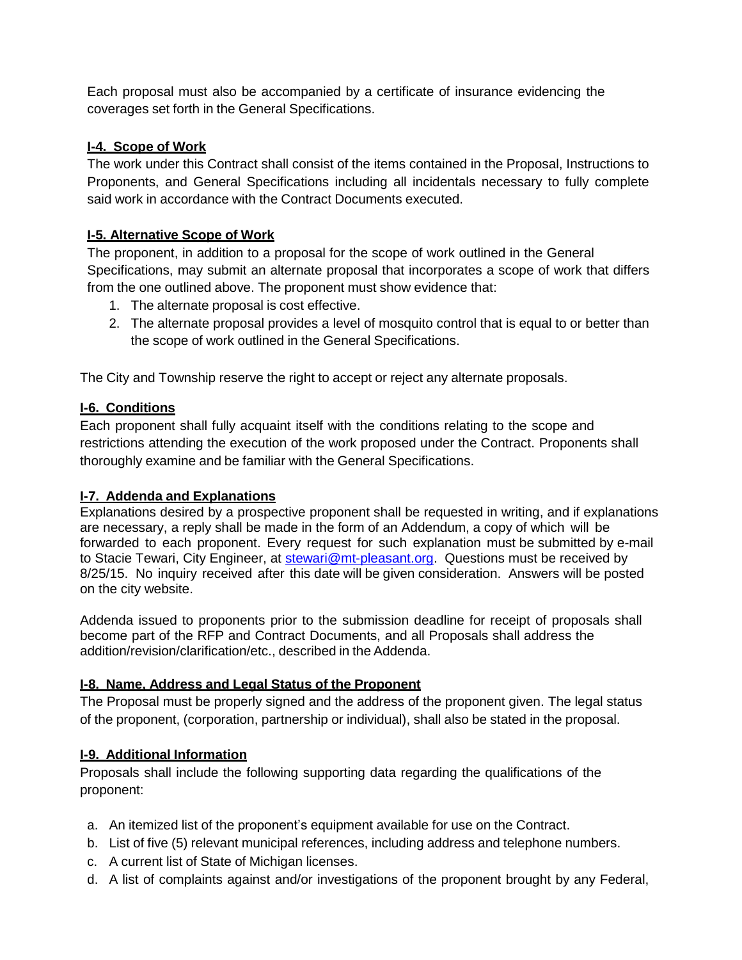Each proposal must also be accompanied by a certificate of insurance evidencing the coverages set forth in the General Specifications.

#### **I-4. Scope of Work**

The work under this Contract shall consist of the items contained in the Proposal, Instructions to Proponents, and General Specifications including all incidentals necessary to fully complete said work in accordance with the Contract Documents executed.

#### **I-5. Alternative Scope of Work**

The proponent, in addition to a proposal for the scope of work outlined in the General Specifications, may submit an alternate proposal that incorporates a scope of work that differs from the one outlined above. The proponent must show evidence that:

- 1. The alternate proposal is cost effective.
- 2. The alternate proposal provides a level of mosquito control that is equal to or better than the scope of work outlined in the General Specifications.

The City and Township reserve the right to accept or reject any alternate proposals.

#### **I-6. Conditions**

Each proponent shall fully acquaint itself with the conditions relating to the scope and restrictions attending the execution of the work proposed under the Contract. Proponents shall thoroughly examine and be familiar with the General Specifications.

#### **I-7. Addenda and Explanations**

Explanations desired by a prospective proponent shall be requested in writing, and if explanations are necessary, a reply shall be made in the form of an Addendum, a copy of which will be forwarded to each proponent. Every request for such explanation must be submitted by e-mail to Stacie Tewari, City Engineer, at [stewari@mt-pleasant.org.](mailto:stewari@mt-pleasant.org) Questions must be received by 8/25/15. No inquiry received after this date will be given consideration. Answers will be posted on the city website.

Addenda issued to proponents prior to the submission deadline for receipt of proposals shall become part of the RFP and Contract Documents, and all Proposals shall address the addition/revision/clarification/etc., described in the Addenda.

# **I-8. Name, Address and Legal Status of the Proponent**

The Proposal must be properly signed and the address of the proponent given. The legal status of the proponent, (corporation, partnership or individual), shall also be stated in the proposal.

# **I-9. Additional Information**

Proposals shall include the following supporting data regarding the qualifications of the proponent:

- a. An itemized list of the proponent's equipment available for use on the Contract.
- b. List of five (5) relevant municipal references, including address and telephone numbers.
- c. A current list of State of Michigan licenses.
- d. A list of complaints against and/or investigations of the proponent brought by any Federal,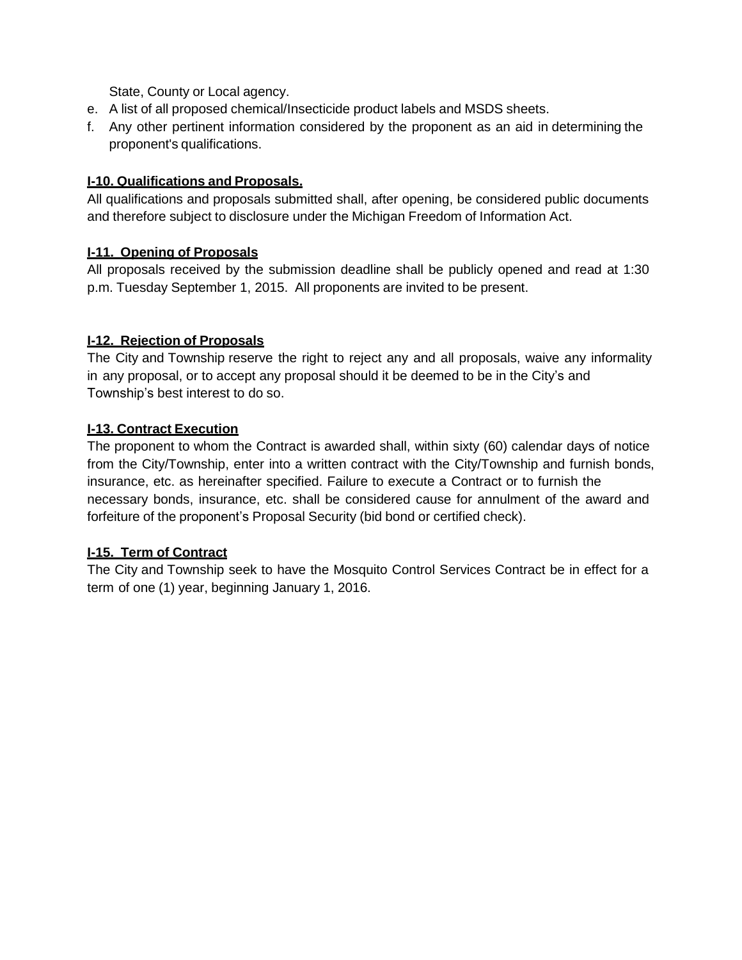State, County or Local agency.

- e. A list of all proposed chemical/Insecticide product labels and MSDS sheets.
- f. Any other pertinent information considered by the proponent as an aid in determining the proponent's qualifications.

#### **I-10. Qualifications and Proposals.**

All qualifications and proposals submitted shall, after opening, be considered public documents and therefore subject to disclosure under the Michigan Freedom of Information Act.

#### **I-11. Opening of Proposals**

All proposals received by the submission deadline shall be publicly opened and read at 1:30 p.m. Tuesday September 1, 2015. All proponents are invited to be present.

#### **I-12. Rejection of Proposals**

The City and Township reserve the right to reject any and all proposals, waive any informality in any proposal, or to accept any proposal should it be deemed to be in the City's and Township's best interest to do so.

#### **I-13. Contract Execution**

The proponent to whom the Contract is awarded shall, within sixty (60) calendar days of notice from the City/Township, enter into a written contract with the City/Township and furnish bonds, insurance, etc. as hereinafter specified. Failure to execute a Contract or to furnish the necessary bonds, insurance, etc. shall be considered cause for annulment of the award and forfeiture of the proponent's Proposal Security (bid bond or certified check).

# **I-15. Term of Contract**

The City and Township seek to have the Mosquito Control Services Contract be in effect for a term of one (1) year, beginning January 1, 2016.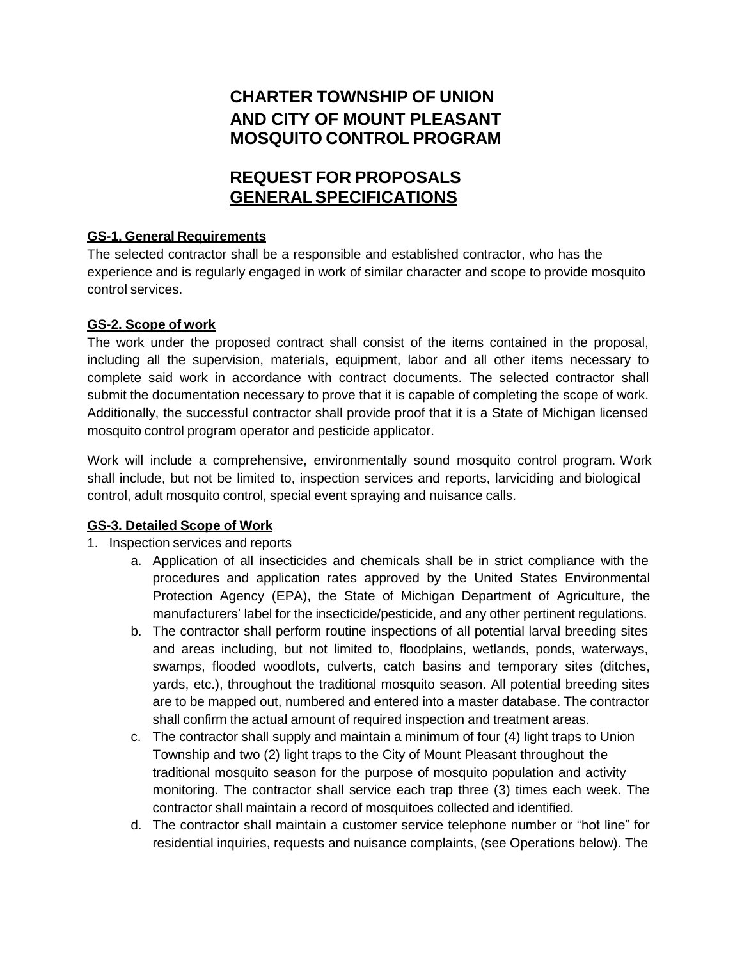# **CHARTER TOWNSHIP OF UNION AND CITY OF MOUNT PLEASANT MOSQUITO CONTROL PROGRAM**

# **REQUEST FOR PROPOSALS GENERALSPECIFICATIONS**

# **GS-1. General Requirements**

The selected contractor shall be a responsible and established contractor, who has the experience and is regularly engaged in work of similar character and scope to provide mosquito control services.

#### **GS-2. Scope of work**

The work under the proposed contract shall consist of the items contained in the proposal, including all the supervision, materials, equipment, labor and all other items necessary to complete said work in accordance with contract documents. The selected contractor shall submit the documentation necessary to prove that it is capable of completing the scope of work. Additionally, the successful contractor shall provide proof that it is a State of Michigan licensed mosquito control program operator and pesticide applicator.

Work will include a comprehensive, environmentally sound mosquito control program. Work shall include, but not be limited to, inspection services and reports, larviciding and biological control, adult mosquito control, special event spraying and nuisance calls.

# **GS-3. Detailed Scope of Work**

# 1. Inspection services and reports

- a. Application of all insecticides and chemicals shall be in strict compliance with the procedures and application rates approved by the United States Environmental Protection Agency (EPA), the State of Michigan Department of Agriculture, the manufacturers' label for the insecticide/pesticide, and any other pertinent regulations.
- b. The contractor shall perform routine inspections of all potential larval breeding sites and areas including, but not limited to, floodplains, wetlands, ponds, waterways, swamps, flooded woodlots, culverts, catch basins and temporary sites (ditches, yards, etc.), throughout the traditional mosquito season. All potential breeding sites are to be mapped out, numbered and entered into a master database. The contractor shall confirm the actual amount of required inspection and treatment areas.
- c. The contractor shall supply and maintain a minimum of four (4) light traps to Union Township and two (2) light traps to the City of Mount Pleasant throughout the traditional mosquito season for the purpose of mosquito population and activity monitoring. The contractor shall service each trap three (3) times each week. The contractor shall maintain a record of mosquitoes collected and identified.
- d. The contractor shall maintain a customer service telephone number or "hot line" for residential inquiries, requests and nuisance complaints, (see Operations below). The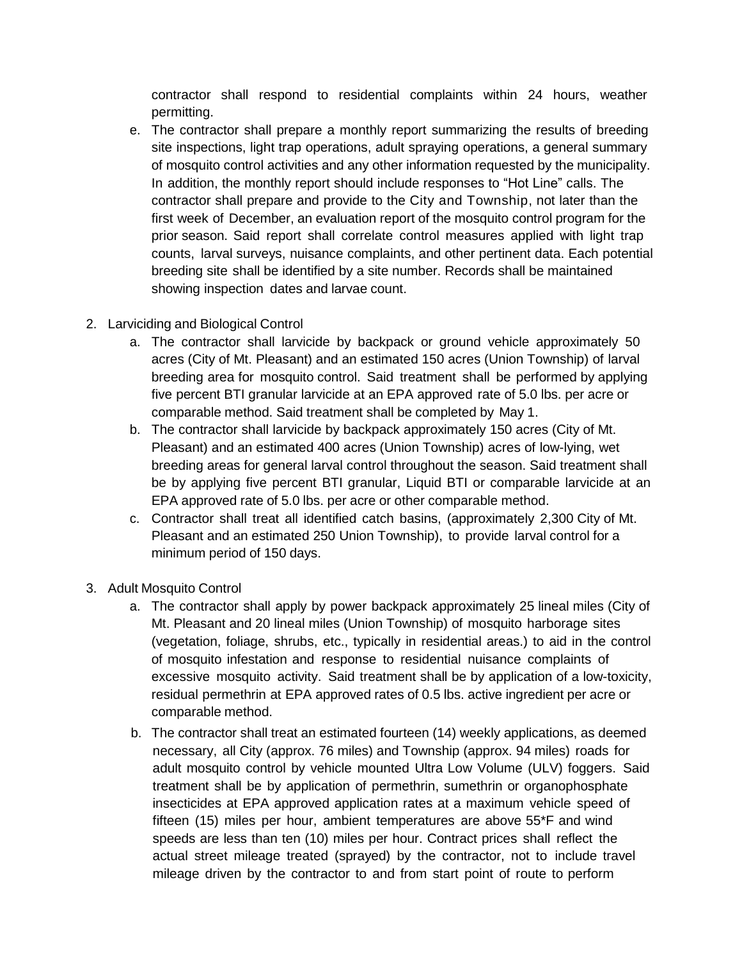contractor shall respond to residential complaints within 24 hours, weather permitting.

- e. The contractor shall prepare a monthly report summarizing the results of breeding site inspections, light trap operations, adult spraying operations, a general summary of mosquito control activities and any other information requested by the municipality. In addition, the monthly report should include responses to "Hot Line" calls. The contractor shall prepare and provide to the City and Township, not later than the first week of December, an evaluation report of the mosquito control program for the prior season. Said report shall correlate control measures applied with light trap counts, larval surveys, nuisance complaints, and other pertinent data. Each potential breeding site shall be identified by a site number. Records shall be maintained showing inspection dates and larvae count.
- 2. Larviciding and Biological Control
	- a. The contractor shall larvicide by backpack or ground vehicle approximately 50 acres (City of Mt. Pleasant) and an estimated 150 acres (Union Township) of larval breeding area for mosquito control. Said treatment shall be performed by applying five percent BTI granular larvicide at an EPA approved rate of 5.0 lbs. per acre or comparable method. Said treatment shall be completed by May 1.
	- b. The contractor shall larvicide by backpack approximately 150 acres (City of Mt. Pleasant) and an estimated 400 acres (Union Township) acres of low-lying, wet breeding areas for general larval control throughout the season. Said treatment shall be by applying five percent BTI granular, Liquid BTI or comparable larvicide at an EPA approved rate of 5.0 lbs. per acre or other comparable method.
	- c. Contractor shall treat all identified catch basins, (approximately 2,300 City of Mt. Pleasant and an estimated 250 Union Township), to provide larval control for a minimum period of 150 days.
- 3. Adult Mosquito Control
	- a. The contractor shall apply by power backpack approximately 25 lineal miles (City of Mt. Pleasant and 20 lineal miles (Union Township) of mosquito harborage sites (vegetation, foliage, shrubs, etc., typically in residential areas.) to aid in the control of mosquito infestation and response to residential nuisance complaints of excessive mosquito activity. Said treatment shall be by application of a low-toxicity, residual permethrin at EPA approved rates of 0.5 lbs. active ingredient per acre or comparable method.
	- b. The contractor shall treat an estimated fourteen (14) weekly applications, as deemed necessary, all City (approx. 76 miles) and Township (approx. 94 miles) roads for adult mosquito control by vehicle mounted Ultra Low Volume (ULV) foggers. Said treatment shall be by application of permethrin, sumethrin or organophosphate insecticides at EPA approved application rates at a maximum vehicle speed of fifteen (15) miles per hour, ambient temperatures are above 55\*F and wind speeds are less than ten (10) miles per hour. Contract prices shall reflect the actual street mileage treated (sprayed) by the contractor, not to include travel mileage driven by the contractor to and from start point of route to perform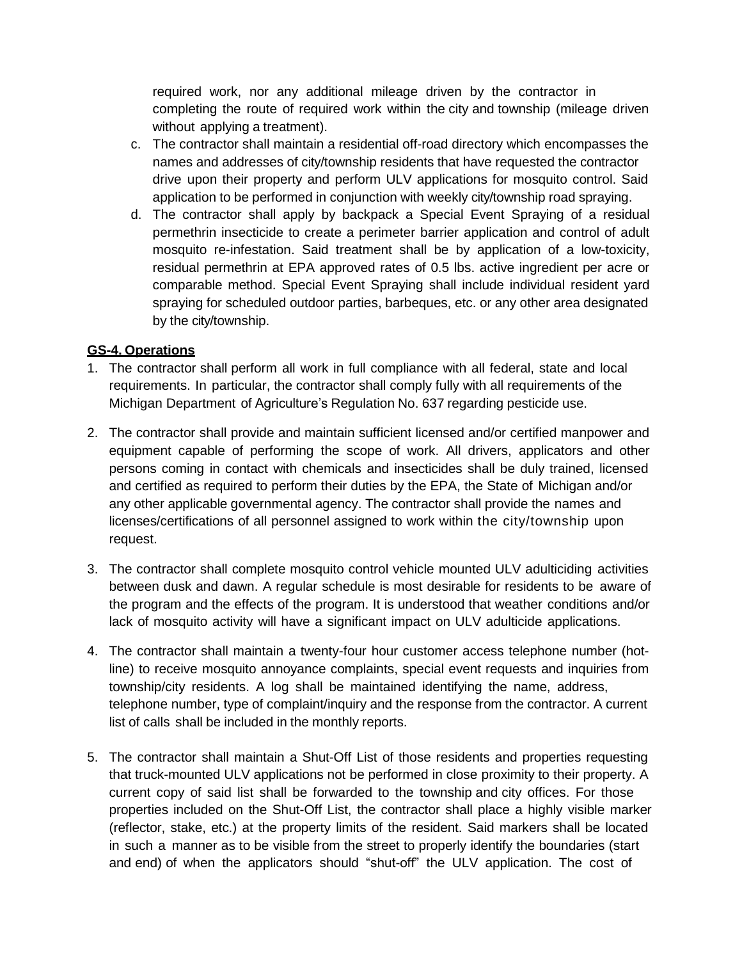required work, nor any additional mileage driven by the contractor in completing the route of required work within the city and township (mileage driven without applying a treatment).

- c. The contractor shall maintain a residential off-road directory which encompasses the names and addresses of city/township residents that have requested the contractor drive upon their property and perform ULV applications for mosquito control. Said application to be performed in conjunction with weekly city/township road spraying.
- d. The contractor shall apply by backpack a Special Event Spraying of a residual permethrin insecticide to create a perimeter barrier application and control of adult mosquito re-infestation. Said treatment shall be by application of a low-toxicity, residual permethrin at EPA approved rates of 0.5 lbs. active ingredient per acre or comparable method. Special Event Spraying shall include individual resident yard spraying for scheduled outdoor parties, barbeques, etc. or any other area designated by the city/township.

#### **GS-4. Operations**

- 1. The contractor shall perform all work in full compliance with all federal, state and local requirements. In particular, the contractor shall comply fully with all requirements of the Michigan Department of Agriculture's Regulation No. 637 regarding pesticide use.
- 2. The contractor shall provide and maintain sufficient licensed and/or certified manpower and equipment capable of performing the scope of work. All drivers, applicators and other persons coming in contact with chemicals and insecticides shall be duly trained, licensed and certified as required to perform their duties by the EPA, the State of Michigan and/or any other applicable governmental agency. The contractor shall provide the names and licenses/certifications of all personnel assigned to work within the city/township upon request.
- 3. The contractor shall complete mosquito control vehicle mounted ULV adulticiding activities between dusk and dawn. A regular schedule is most desirable for residents to be aware of the program and the effects of the program. It is understood that weather conditions and/or lack of mosquito activity will have a significant impact on ULV adulticide applications.
- 4. The contractor shall maintain a twenty-four hour customer access telephone number (hotline) to receive mosquito annoyance complaints, special event requests and inquiries from township/city residents. A log shall be maintained identifying the name, address, telephone number, type of complaint/inquiry and the response from the contractor. A current list of calls shall be included in the monthly reports.
- 5. The contractor shall maintain a Shut-Off List of those residents and properties requesting that truck-mounted ULV applications not be performed in close proximity to their property. A current copy of said list shall be forwarded to the township and city offices. For those properties included on the Shut-Off List, the contractor shall place a highly visible marker (reflector, stake, etc.) at the property limits of the resident. Said markers shall be located in such a manner as to be visible from the street to properly identify the boundaries (start and end) of when the applicators should "shut-off" the ULV application. The cost of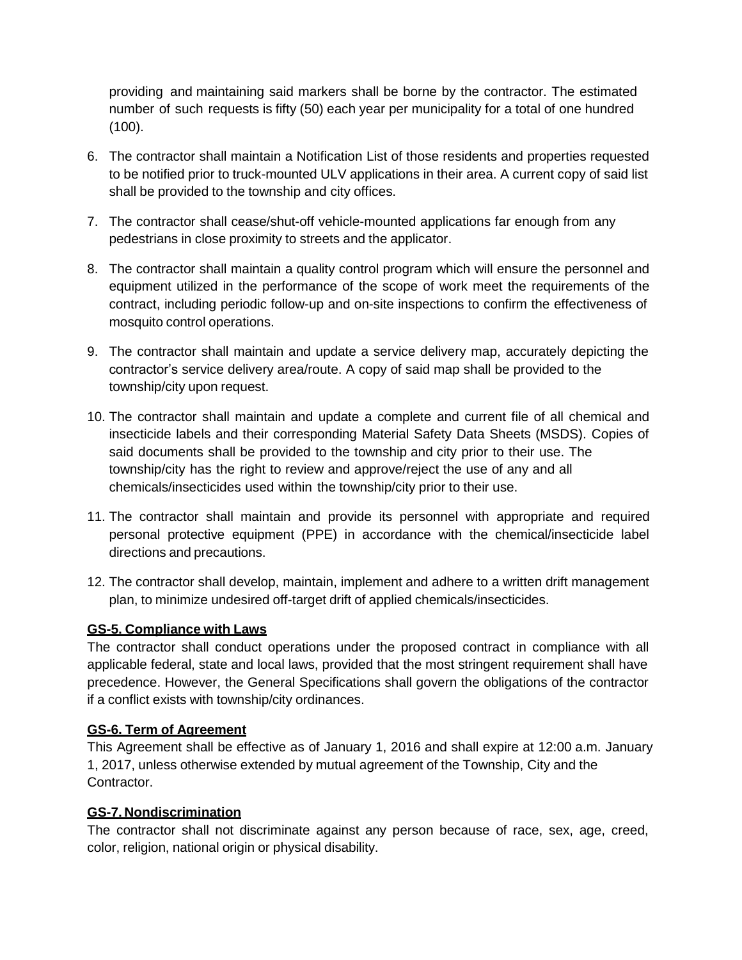providing and maintaining said markers shall be borne by the contractor. The estimated number of such requests is fifty (50) each year per municipality for a total of one hundred (100).

- 6. The contractor shall maintain a Notification List of those residents and properties requested to be notified prior to truck-mounted ULV applications in their area. A current copy of said list shall be provided to the township and city offices.
- 7. The contractor shall cease/shut-off vehicle-mounted applications far enough from any pedestrians in close proximity to streets and the applicator.
- 8. The contractor shall maintain a quality control program which will ensure the personnel and equipment utilized in the performance of the scope of work meet the requirements of the contract, including periodic follow-up and on-site inspections to confirm the effectiveness of mosquito control operations.
- 9. The contractor shall maintain and update a service delivery map, accurately depicting the contractor's service delivery area/route. A copy of said map shall be provided to the township/city upon request.
- 10. The contractor shall maintain and update a complete and current file of all chemical and insecticide labels and their corresponding Material Safety Data Sheets (MSDS). Copies of said documents shall be provided to the township and city prior to their use. The township/city has the right to review and approve/reject the use of any and all chemicals/insecticides used within the township/city prior to their use.
- 11. The contractor shall maintain and provide its personnel with appropriate and required personal protective equipment (PPE) in accordance with the chemical/insecticide label directions and precautions.
- 12. The contractor shall develop, maintain, implement and adhere to a written drift management plan, to minimize undesired off-target drift of applied chemicals/insecticides.

#### **GS-5. Compliance with Laws**

The contractor shall conduct operations under the proposed contract in compliance with all applicable federal, state and local laws, provided that the most stringent requirement shall have precedence. However, the General Specifications shall govern the obligations of the contractor if a conflict exists with township/city ordinances.

#### **GS-6. Term of Agreement**

This Agreement shall be effective as of January 1, 2016 and shall expire at 12:00 a.m. January 1, 2017, unless otherwise extended by mutual agreement of the Township, City and the Contractor.

#### **GS-7. Nondiscrimination**

The contractor shall not discriminate against any person because of race, sex, age, creed, color, religion, national origin or physical disability.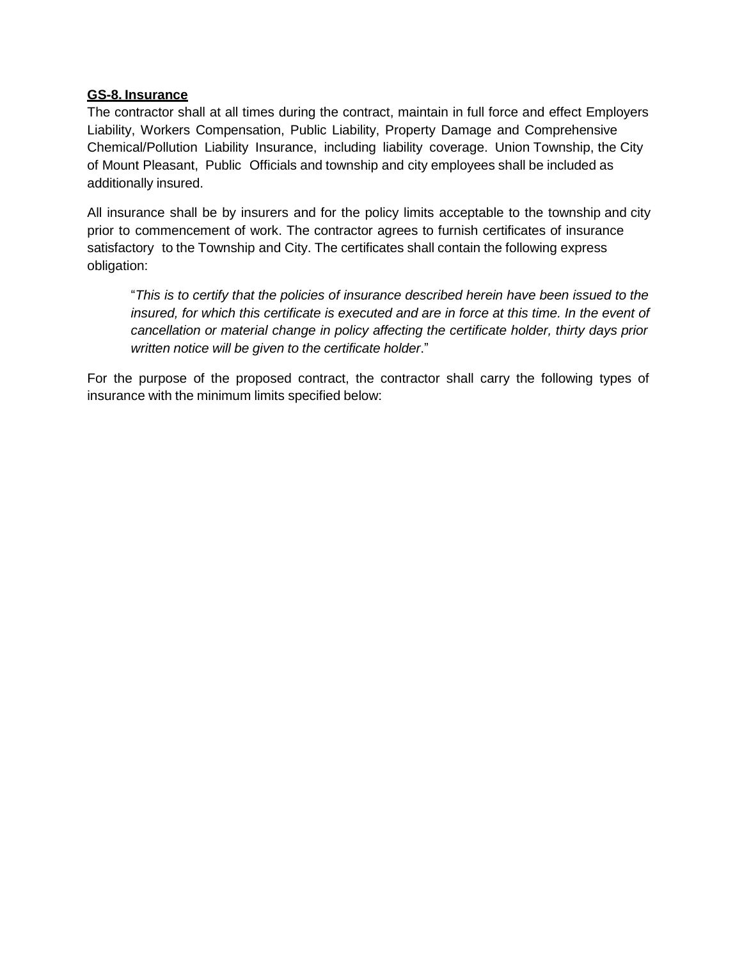#### **GS-8. Insurance**

The contractor shall at all times during the contract, maintain in full force and effect Employers Liability, Workers Compensation, Public Liability, Property Damage and Comprehensive Chemical/Pollution Liability Insurance, including liability coverage. Union Township, the City of Mount Pleasant, Public Officials and township and city employees shall be included as additionally insured.

All insurance shall be by insurers and for the policy limits acceptable to the township and city prior to commencement of work. The contractor agrees to furnish certificates of insurance satisfactory to the Township and City. The certificates shall contain the following express obligation:

"*This is to certify that the policies of insurance described herein have been issued to the insured, for which this certificate is executed and are in force at this time. In the event of cancellation or material change in policy affecting the certificate holder, thirty days prior written notice will be given to the certificate holder*."

For the purpose of the proposed contract, the contractor shall carry the following types of insurance with the minimum limits specified below: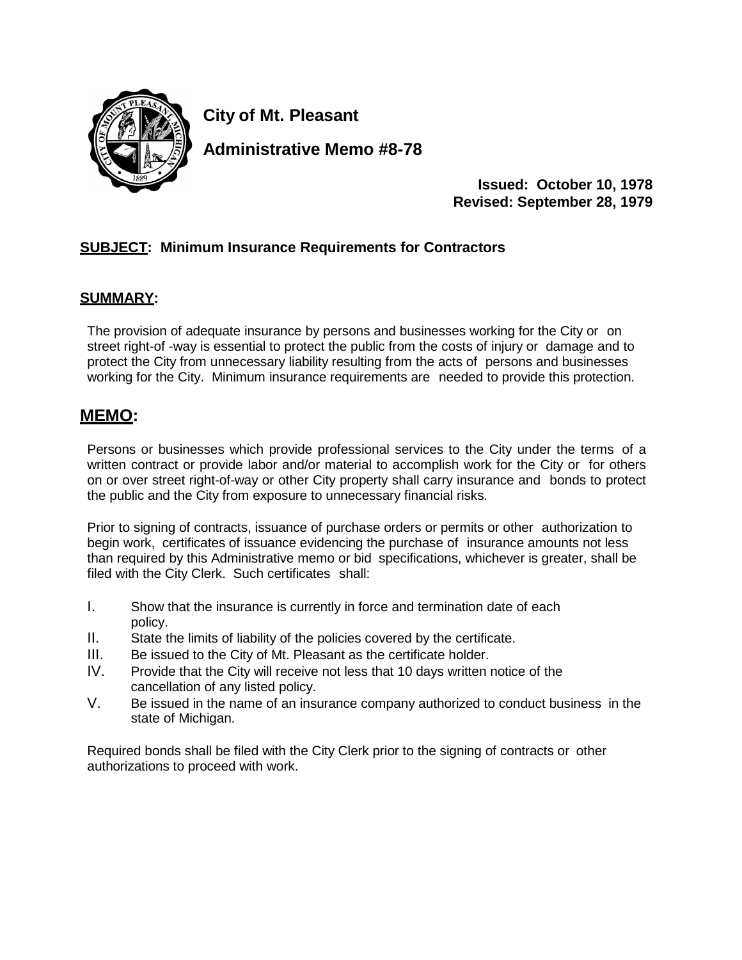

**City of Mt. Pleasant**

**Administrative Memo #8-78**

**Issued: October 10, 1978 Revised: September 28, 1979**

# **SUBJECT: Minimum Insurance Requirements for Contractors**

#### **SUMMARY:**

The provision of adequate insurance by persons and businesses working for the City or on street right-of -way is essential to protect the public from the costs of injury or damage and to protect the City from unnecessary liability resulting from the acts of persons and businesses working for the City. Minimum insurance requirements are needed to provide this protection.

# **MEMO:**

Persons or businesses which provide professional services to the City under the terms of a written contract or provide labor and/or material to accomplish work for the City or for others on or over street right-of-way or other City property shall carry insurance and bonds to protect the public and the City from exposure to unnecessary financial risks.

Prior to signing of contracts, issuance of purchase orders or permits or other authorization to begin work, certificates of issuance evidencing the purchase of insurance amounts not less than required by this Administrative memo or bid specifications, whichever is greater, shall be filed with the City Clerk. Such certificates shall:

- I. Show that the insurance is currently in force and termination date of each policy.
- II. State the limits of liability of the policies covered by the certificate.
- III. Be issued to the City of Mt. Pleasant as the certificate holder.
- IV. Provide that the City will receive not less that 10 days written notice of the cancellation of any listed policy.
- V. Be issued in the name of an insurance company authorized to conduct business in the state of Michigan.

Required bonds shall be filed with the City Clerk prior to the signing of contracts or other authorizations to proceed with work.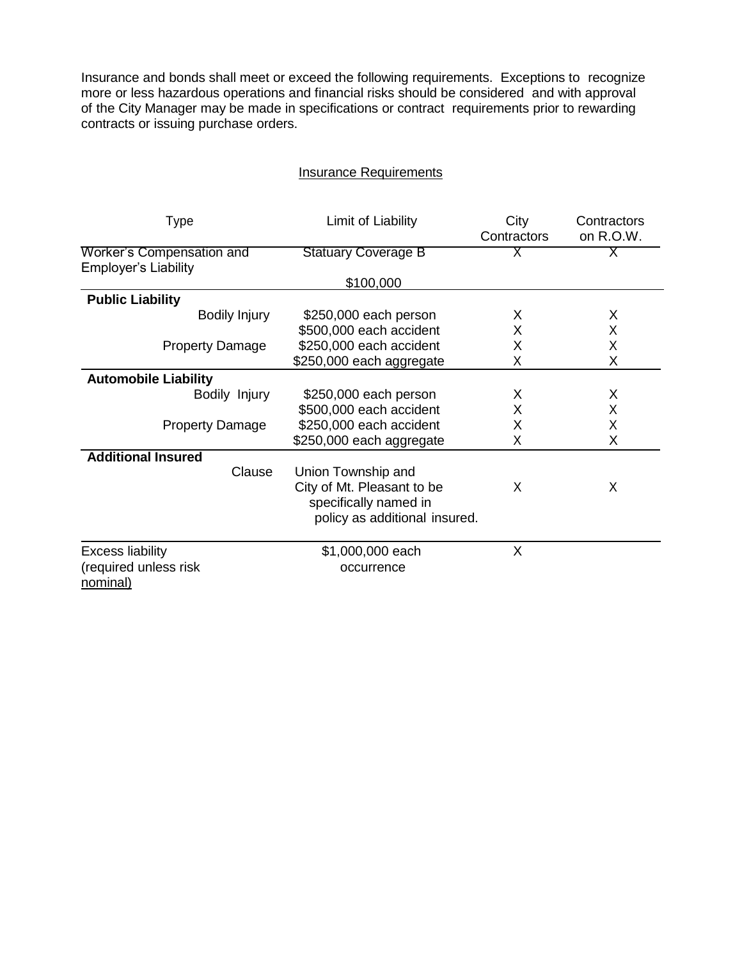Insurance and bonds shall meet or exceed the following requirements. Exceptions to recognize more or less hazardous operations and financial risks should be considered and with approval of the City Manager may be made in specifications or contract requirements prior to rewarding contracts or issuing purchase orders.

| <b>Insurance Requirements</b> |
|-------------------------------|
|-------------------------------|

| Type                                                         | Limit of Liability                                                                                         | City<br>Contractors | Contractors<br>on R.O.W. |
|--------------------------------------------------------------|------------------------------------------------------------------------------------------------------------|---------------------|--------------------------|
| Worker's Compensation and<br><b>Employer's Liability</b>     | <b>Statuary Coverage B</b>                                                                                 | X.                  | Χ                        |
|                                                              | \$100,000                                                                                                  |                     |                          |
| <b>Public Liability</b>                                      |                                                                                                            |                     |                          |
| <b>Bodily Injury</b>                                         | \$250,000 each person                                                                                      | X                   | X                        |
|                                                              | \$500,000 each accident                                                                                    | X                   | X                        |
| <b>Property Damage</b>                                       | \$250,000 each accident                                                                                    | X                   | Χ                        |
|                                                              | \$250,000 each aggregate                                                                                   | X                   | X                        |
| <b>Automobile Liability</b>                                  |                                                                                                            |                     |                          |
| Bodily Injury                                                | \$250,000 each person                                                                                      | X                   | X                        |
|                                                              | \$500,000 each accident                                                                                    | X                   | X                        |
| <b>Property Damage</b>                                       | \$250,000 each accident                                                                                    | X                   | X                        |
|                                                              | \$250,000 each aggregate                                                                                   | Χ                   | X                        |
| <b>Additional Insured</b>                                    |                                                                                                            |                     |                          |
| Clause                                                       | Union Township and<br>City of Mt. Pleasant to be<br>specifically named in<br>policy as additional insured. | X                   | X                        |
| <b>Excess liability</b><br>(required unless risk<br>nominal) | \$1,000,000 each<br>occurrence                                                                             | X                   |                          |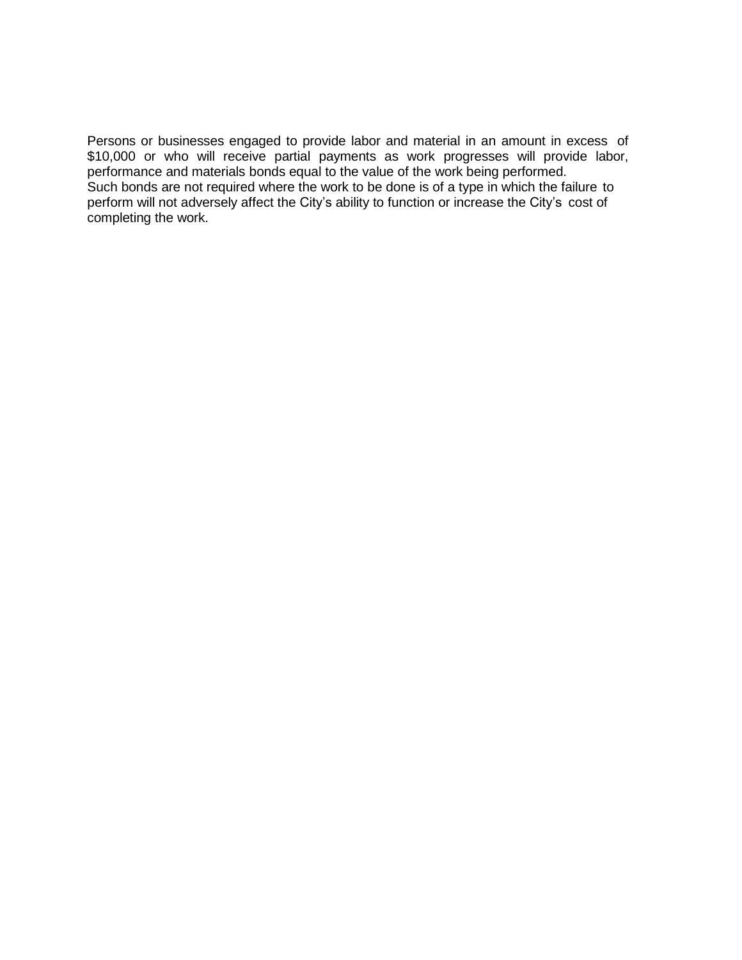Persons or businesses engaged to provide labor and material in an amount in excess of \$10,000 or who will receive partial payments as work progresses will provide labor, performance and materials bonds equal to the value of the work being performed. Such bonds are not required where the work to be done is of a type in which the failure to perform will not adversely affect the City's ability to function or increase the City's cost of completing the work.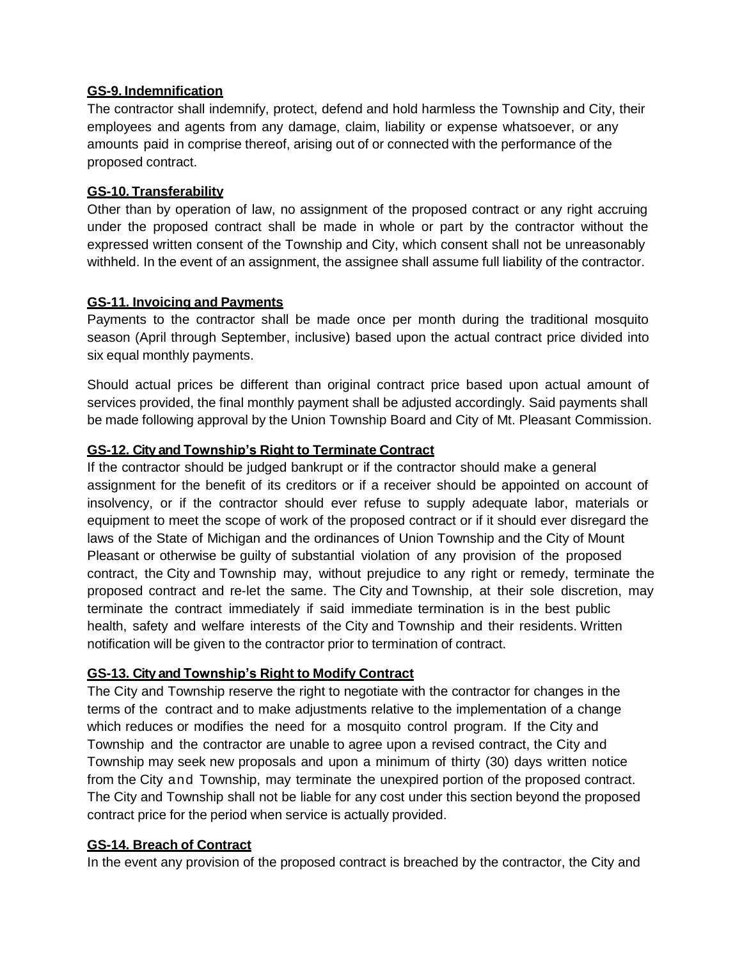#### **GS-9. Indemnification**

The contractor shall indemnify, protect, defend and hold harmless the Township and City, their employees and agents from any damage, claim, liability or expense whatsoever, or any amounts paid in comprise thereof, arising out of or connected with the performance of the proposed contract.

#### **GS-10. Transferability**

Other than by operation of law, no assignment of the proposed contract or any right accruing under the proposed contract shall be made in whole or part by the contractor without the expressed written consent of the Township and City, which consent shall not be unreasonably withheld. In the event of an assignment, the assignee shall assume full liability of the contractor.

#### **GS-11. Invoicing and Payments**

Payments to the contractor shall be made once per month during the traditional mosquito season (April through September, inclusive) based upon the actual contract price divided into six equal monthly payments.

Should actual prices be different than original contract price based upon actual amount of services provided, the final monthly payment shall be adjusted accordingly. Said payments shall be made following approval by the Union Township Board and City of Mt. Pleasant Commission.

# **GS-12. City and Township's Right to Terminate Contract**

If the contractor should be judged bankrupt or if the contractor should make a general assignment for the benefit of its creditors or if a receiver should be appointed on account of insolvency, or if the contractor should ever refuse to supply adequate labor, materials or equipment to meet the scope of work of the proposed contract or if it should ever disregard the laws of the State of Michigan and the ordinances of Union Township and the City of Mount Pleasant or otherwise be guilty of substantial violation of any provision of the proposed contract, the City and Township may, without prejudice to any right or remedy, terminate the proposed contract and re-let the same. The City and Township, at their sole discretion, may terminate the contract immediately if said immediate termination is in the best public health, safety and welfare interests of the City and Township and their residents. Written notification will be given to the contractor prior to termination of contract.

# **GS-13. City and Township's Right to Modify Contract**

The City and Township reserve the right to negotiate with the contractor for changes in the terms of the contract and to make adjustments relative to the implementation of a change which reduces or modifies the need for a mosquito control program. If the City and Township and the contractor are unable to agree upon a revised contract, the City and Township may seek new proposals and upon a minimum of thirty (30) days written notice from the City and Township, may terminate the unexpired portion of the proposed contract. The City and Township shall not be liable for any cost under this section beyond the proposed contract price for the period when service is actually provided.

# **GS-14. Breach of Contract**

In the event any provision of the proposed contract is breached by the contractor, the City and